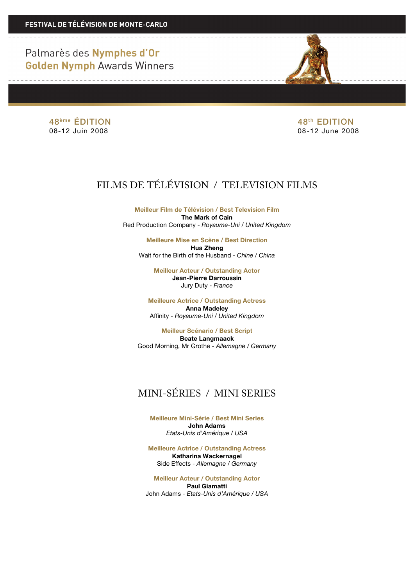> 48<sup>ème</sup> ÉDITION 48<sup>ème</sup> ÉDITION 08-12 Juin 2008 08-12 June 2008

# FILMS DE TÉLÉVISION / TELEVISION FILMS

**Meilleur Film de Télévision / Best Television Film The Mark of Cain** Red Production Company - *Royaume-Uni / United Kingdom*

**Meilleure Mise en Scène / Best Direction Hua Zheng** Wait for the Birth of the Husband - *Chine / China*

> **Meilleur Acteur / Outstanding Actor Jean-Pierre Darroussin** Jury Duty - *France*

**Meilleure Actrice / Outstanding Actress Anna Madeley** Affinity - *Royaume-Uni / United Kingdom*

**Meilleur Scénario / Best Script Beate Langmaack** Good Morning, Mr Grothe - *Allemagne / Germany*

### MINI-SÉRIES / MINI SERIES

**Meilleure Mini-Série / Best Mini Series John Adams** *Etats-Unis d'Amérique / USA*

**Meilleure Actrice / Outstanding Actress Katharina Wackernagel** Side Effects - *Allemagne / Germany*

**Meilleur Acteur / Outstanding Actor Paul Giamatti** John Adams - *Etats-Unis d'Amérique / USA*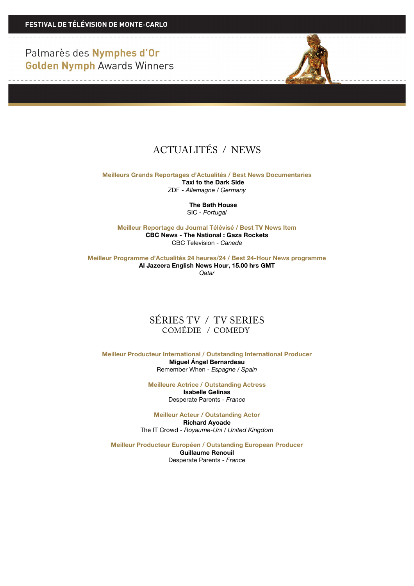<u> 1950 - La Barbara Alemania e</u>

<u> De la Carlo de la Carlo de la Carlo de la Ca</u>



## ACTUALITÉS / NEWS

**Meilleurs Grands Reportages d'Actualités / Best News Documentaries Taxi to the Dark Side** ZDF - *Allemagne / Germany*

> **The Bath House** SIC - *Portugal*

**Meilleur Reportage du Journal Télévisé / Best TV News Item CBC News - The National : Gaza Rockets** CBC Television - *Canada*

**Meilleur Programme d'Actualités 24 heures/24 / Best 24-Hour News programme Al Jazeera English News Hour, 15.00 hrs GMT** *Qatar*

#### SÉRIES TV / TV SERIES COMÉDIE / COMEDY

**Meilleur Producteur International / Outstanding International Producer Miguel Ángel Bernardeau** Remember When - *Espagne / Spain*

> **Meilleure Actrice / Outstanding Actress Isabelle Gelinas** Desperate Parents - *France*

**Meilleur Acteur / Outstanding Actor Richard Ayoade** The IT Crowd - *Royaume-Uni / United Kingdom*

**Meilleur Producteur Européen / Outstanding European Producer Guillaume Renouil**

Desperate Parents - *France*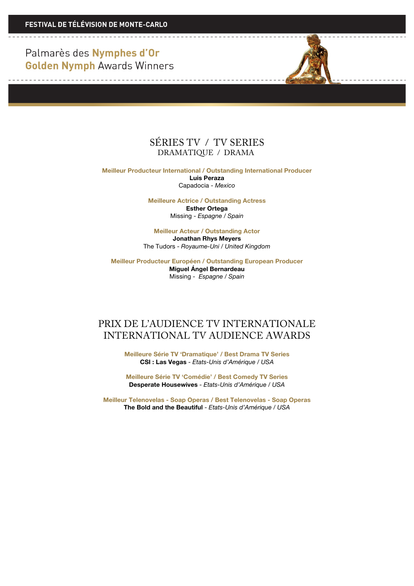

**Meilleur Producteur International / Outstanding International Producer Luis Peraza** Capadocia - *Mexico*

> **Meilleure Actrice / Outstanding Actress Esther Ortega** Missing - *Espagne / Spain*

**Meilleur Acteur / Outstanding Actor Jonathan Rhys Meyers** The Tudors - *Royaume-Uni / United Kingdom*

**Meilleur Producteur Européen / Outstanding European Producer Miguel Ángel Bernardeau** Missing - *Espagne / Spain*

### PRIX DE L'AUDIENCE TV INTERNATIONALE INTERNATIONAL TV AUDIENCE AWARDS

**Meilleure Série TV 'Dramatique' / Best Drama TV Series CSI : Las Vegas** - *Etats-Unis d'Amérique / USA*

**Meilleure Série TV 'Comédie' / Best Comedy TV Series Desperate Housewives** - *Etats-Unis d'Amérique / USA*

**Meilleur Telenovelas - Soap Operas / Best Telenovelas - Soap Operas The Bold and the Beautiful** - *Etats-Unis d'Amérique / USA*